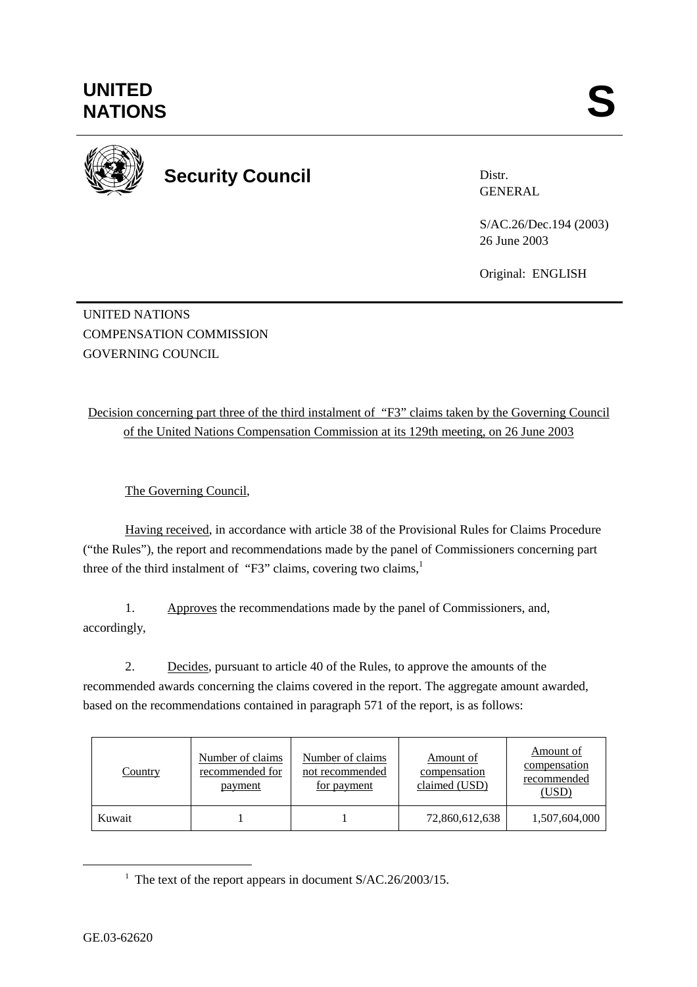

**Security Council** 

Distr. GENERAL

S/AC.26/Dec.194 (2003) 26 June 2003

Original: ENGLISH

UNITED NATIONS COMPENSATION COMMISSION GOVERNING COUNCIL

Decision concerning part three of the third instalment of "F3" claims taken by the Governing Council of the United Nations Compensation Commission at its 129th meeting, on 26 June 2003

The Governing Council,

Having received, in accordance with article 38 of the Provisional Rules for Claims Procedure ("the Rules"), the report and recommendations made by the panel of Commissioners concerning part three of the third instalment of "F3" claims, covering two claims, $<sup>1</sup>$ </sup>

1. Approves the recommendations made by the panel of Commissioners, and, accordingly,

2. Decides, pursuant to article 40 of the Rules, to approve the amounts of the recommended awards concerning the claims covered in the report. The aggregate amount awarded, based on the recommendations contained in paragraph 571 of the report, is as follows:

| <b>Country</b> | Number of claims<br>recommended for<br>payment | Number of claims<br>not recommended<br>for payment | Amount of<br>compensation<br>claimed (USD) | Amount of<br>compensation<br>recommended<br>(USD) |
|----------------|------------------------------------------------|----------------------------------------------------|--------------------------------------------|---------------------------------------------------|
| Kuwait         |                                                |                                                    | 72,860,612,638                             | 1,507,604,000                                     |

<sup>&</sup>lt;u>1</u> <sup>1</sup> The text of the report appears in document  $S/AC.26/2003/15$ .